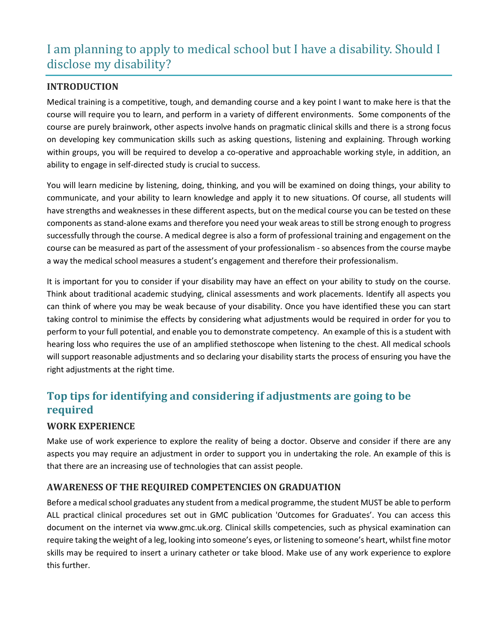# I am planning to apply to medical school but I have a disability. Should I disclose my disability?

## **INTRODUCTION**

Medical training is a competitive, tough, and demanding course and a key point I want to make here is that the course will require you to learn, and perform in a variety of different environments. Some components of the course are purely brainwork, other aspects involve hands on pragmatic clinical skills and there is a strong focus on developing key communication skills such as asking questions, listening and explaining. Through working within groups, you will be required to develop a co-operative and approachable working style, in addition, an ability to engage in self-directed study is crucial to success.

You will learn medicine by listening, doing, thinking, and you will be examined on doing things, your ability to communicate, and your ability to learn knowledge and apply it to new situations. Of course, all students will have strengths and weaknesses in these different aspects, but on the medical course you can be tested on these components as stand-alone exams and therefore you need your weak areas to still be strong enough to progress successfully through the course. A medical degree is also a form of professional training and engagement on the course can be measured as part of the assessment of your professionalism - so absences from the course maybe a way the medical school measures a student's engagement and therefore their professionalism.

It is important for you to consider if your disability may have an effect on your ability to study on the course. Think about traditional academic studying, clinical assessments and work placements. Identify all aspects you can think of where you may be weak because of your disability. Once you have identified these you can start taking control to minimise the effects by considering what adjustments would be required in order for you to perform to your full potential, and enable you to demonstrate competency. An example of this is a student with hearing loss who requires the use of an amplified stethoscope when listening to the chest. All medical schools will support reasonable adjustments and so declaring your disability starts the process of ensuring you have the right adjustments at the right time.

# **Top tips for identifying and considering if adjustments are going to be required**

#### **WORK EXPERIENCE**

Make use of work experience to explore the reality of being a doctor. Observe and consider if there are any aspects you may require an adjustment in order to support you in undertaking the role. An example of this is that there are an increasing use of technologies that can assist people.

#### **AWARENESS OF THE REQUIRED COMPETENCIES ON GRADUATION**

Before a medical school graduates any student from a medical programme, the student MUST be able to perform ALL practical clinical procedures set out in GMC publication 'Outcomes for Graduates'. You can access this document on the internet via www.gmc.uk.org. Clinical skills competencies, such as physical examination can require taking the weight of a leg, looking into someone's eyes, or listening to someone's heart, whilst fine motor skills may be required to insert a urinary catheter or take blood. Make use of any work experience to explore this further.